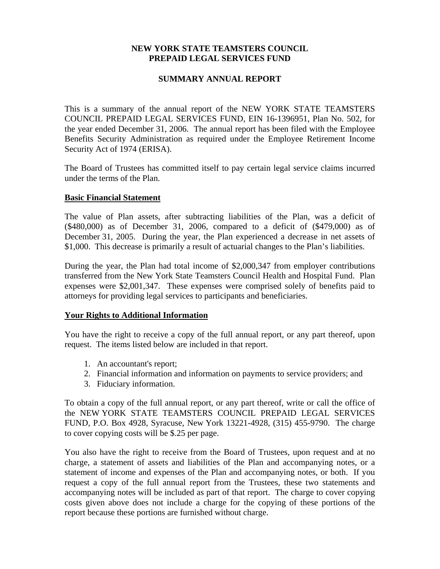## **NEW YORK STATE TEAMSTERS COUNCIL PREPAID LEGAL SERVICES FUND**

## **SUMMARY ANNUAL REPORT**

This is a summary of the annual report of the NEW YORK STATE TEAMSTERS COUNCIL PREPAID LEGAL SERVICES FUND, EIN 16-1396951, Plan No. 502, for the year ended December 31, 2006. The annual report has been filed with the Employee Benefits Security Administration as required under the Employee Retirement Income Security Act of 1974 (ERISA).

The Board of Trustees has committed itself to pay certain legal service claims incurred under the terms of the Plan.

## **Basic Financial Statement**

The value of Plan assets, after subtracting liabilities of the Plan, was a deficit of (\$480,000) as of December 31, 2006, compared to a deficit of (\$479,000) as of December 31, 2005. During the year, the Plan experienced a decrease in net assets of \$1,000. This decrease is primarily a result of actuarial changes to the Plan's liabilities.

During the year, the Plan had total income of \$2,000,347 from employer contributions transferred from the New York State Teamsters Council Health and Hospital Fund. Plan expenses were \$2,001,347. These expenses were comprised solely of benefits paid to attorneys for providing legal services to participants and beneficiaries.

## **Your Rights to Additional Information**

You have the right to receive a copy of the full annual report, or any part thereof, upon request. The items listed below are included in that report.

- 1. An accountant's report;
- 2. Financial information and information on payments to service providers; and
- 3. Fiduciary information.

To obtain a copy of the full annual report, or any part thereof, write or call the office of the NEW YORK STATE TEAMSTERS COUNCIL PREPAID LEGAL SERVICES FUND, P.O. Box 4928, Syracuse, New York 13221-4928, (315) 455-9790. The charge to cover copying costs will be \$.25 per page.

You also have the right to receive from the Board of Trustees, upon request and at no charge, a statement of assets and liabilities of the Plan and accompanying notes, or a statement of income and expenses of the Plan and accompanying notes, or both. If you request a copy of the full annual report from the Trustees, these two statements and accompanying notes will be included as part of that report. The charge to cover copying costs given above does not include a charge for the copying of these portions of the report because these portions are furnished without charge.